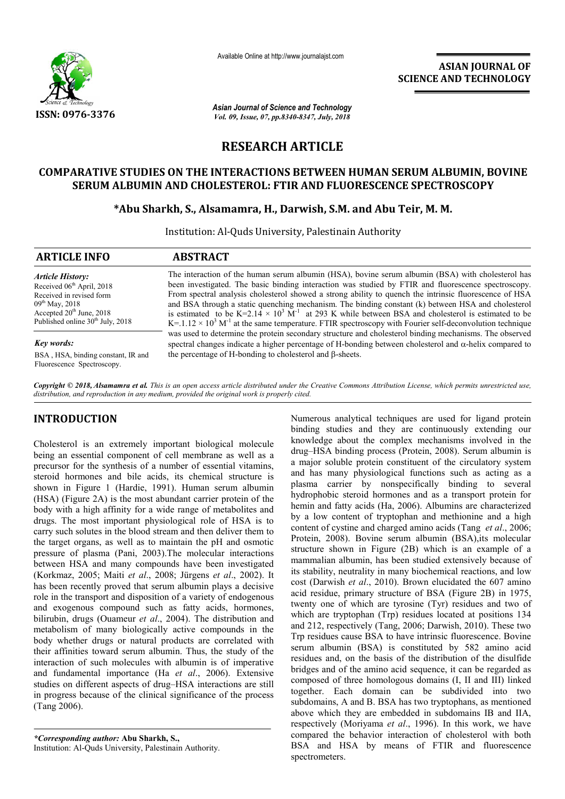

Available Online at http://www.journalajst.com

**ASIAN JOURNAL OF SCIENCE AND TECHNOLOGY** 

**ISSN: 0976-3376** *Asian Journal of Science and Technology Vol. 09, Issue, 07, pp.8340-8347, July, 2018*

# **RESEARCH ARTICLE**

# **COMPARATIVE STUDIES ON THE INTERACTIONS BETWEEN HUMAN SERUM ALBUMIN, BOVINE SERUM ALBUMIN AND CHOLESTEROL: FTIR AND FLUORESCENCE SPECTROSCOPY**

## **\*Abu Sharkh, S., Alsamamra, H., Darwish, S.M. and Abu Teir, M. M.**

Institution: Al-Quds University, Palestinain Authority

| <b>ARTICLE INFO</b>                                                                                                                                                                               | <b>ABSTRACT</b>                                                                                                                                                                                                                                                                                                                                                                                                                                                                                                                                                                                                                                                                                                                                                                                                                                                                                                                                                                   |
|---------------------------------------------------------------------------------------------------------------------------------------------------------------------------------------------------|-----------------------------------------------------------------------------------------------------------------------------------------------------------------------------------------------------------------------------------------------------------------------------------------------------------------------------------------------------------------------------------------------------------------------------------------------------------------------------------------------------------------------------------------------------------------------------------------------------------------------------------------------------------------------------------------------------------------------------------------------------------------------------------------------------------------------------------------------------------------------------------------------------------------------------------------------------------------------------------|
| <b>Article History:</b><br>Received 06 <sup>th</sup> April, 2018<br>Received in revised form<br>$09^{th}$ May, 2018<br>Accepted $20th$ June, 2018<br>Published online 30 <sup>th</sup> July, 2018 | The interaction of the human serum albumin (HSA), bovine serum albumin (BSA) with cholesterol has<br>been investigated. The basic binding interaction was studied by FTIR and fluorescence spectroscopy.<br>From spectral analysis cholesterol showed a strong ability to quench the intrinsic fluorescence of HSA<br>and BSA through a static quenching mechanism. The binding constant (k) between HSA and cholesterol<br>is estimated to be K=2.14 $\times$ 10 <sup>3</sup> M <sup>-1</sup> at 293 K while between BSA and cholesterol is estimated to be<br>$K = 1.12 \times 10^3 M^{-1}$ at the same temperature. FTIR spectroscopy with Fourier self-deconvolution technique<br>was used to determine the protein secondary structure and cholesterol binding mechanisms. The observed<br>spectral changes indicate a higher percentage of H-bonding between cholesterol and $\alpha$ -helix compared to<br>the percentage of H-bonding to cholesterol and $\beta$ -sheets. |
| Key words:<br>BSA, HSA, binding constant, IR and<br>Fluorescence Spectroscopy.                                                                                                                    |                                                                                                                                                                                                                                                                                                                                                                                                                                                                                                                                                                                                                                                                                                                                                                                                                                                                                                                                                                                   |

*Copyright © 2018, Alsamamra et al. This is an open access article distributed under the Creative Commons Attribution License, which permits unrestricted use, distribution, and reproduction in any medium, provided the original work is properly cited.*

## **INTRODUCTION**

Cholesterol is an extremely important biological molecule being an essential component of cell membrane as well as a precursor for the synthesis of a number of essential vitamins, steroid hormones and bile acids, its chemical structure is shown in Figure 1 (Hardie, 1991). Human serum albumin (HSA) (Figure 2A) is the most abundant carrier protein of the body with a high affinity for a wide range of metabolites and drugs. The most important physiological role of HSA is to carry such solutes in the blood stream and then deliver them to the target organs, as well as to maintain the pH and osmotic pressure of plasma (Pani, 2003).The molecular interactions between HSA and many compounds have been investigated (Korkmaz, 2005; Maiti *et al*., 2008; Jürgens *et al*., 2002). It has been recently proved that serum albumin plays a decisive role in the transport and disposition of a variety of endogenous and exogenous compound such as fatty acids, hormones, bilirubin, drugs (Ouameur *et al*., 2004). The distribution and metabolism of many biologically active compounds in the body whether drugs or natural products are correlated with their affinities toward serum albumin. Thus, the study of the interaction of such molecules with albumin is of imperative and fundamental importance (Ha *et al*., 2006). Extensive studies on different aspects of drug–HSA interactions are still in progress because of the clinical significance of the process (Tang 2006).

*\*Corresponding author:* **Abu Sharkh, S.,** Institution: Al-Quds University, Palestinain Authority.

Numerous analytical techniques are used for ligand protein binding studies and they are continuously extending our knowledge about the complex mechanisms involved in the drug–HSA binding process (Protein, 2008). Serum albumin is a major soluble protein constituent of the circulatory system and has many physiological functions such as acting as a plasma carrier by nonspecifically binding to several hydrophobic steroid hormones and as a transport protein for hemin and fatty acids (Ha, 2006). Albumins are characterized by a low content of tryptophan and methionine and a high content of cystine and charged amino acids (Tang *et al*., 2006; Protein, 2008). Bovine serum albumin (BSA),its molecular structure shown in Figure (2B) which is an example of a mammalian albumin, has been studied extensively because of its stability, neutrality in many biochemical reactions, and low cost (Darwish *et al*., 2010). Brown elucidated the 607 amino acid residue, primary structure of BSA (Figure 2B) in 1975, twenty one of which are tyrosine (Tyr) residues and two of which are tryptophan (Trp) residues located at positions 134 and 212, respectively (Tang, 2006; Darwish, 2010). These two Trp residues cause BSA to have intrinsic fluorescence. Bovine serum albumin (BSA) is constituted by 582 amino acid residues and, on the basis of the distribution of the disulfide bridges and of the amino acid sequence, it can be regarded as composed of three homologous domains (I, II and III) linked together. Each domain can be subdivided into two subdomains, A and B. BSA has two tryptophans, as mentioned above which they are embedded in subdomains IB and IIA, respectively (Moriyama *et al*., 1996). In this work, we have compared the behavior interaction of cholesterol with both BSA and HSA by means of FTIR and fluorescence spectrometers.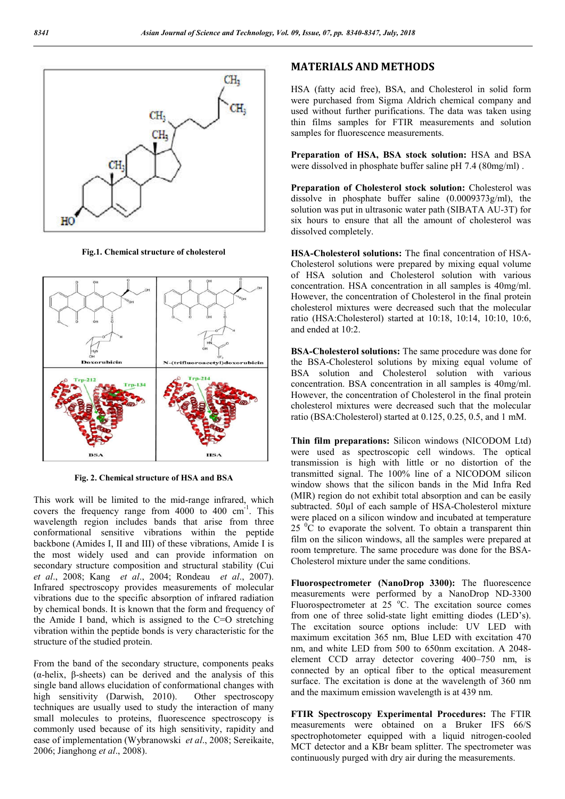

**Fig.1. Chemical structure of cholesterol**



**Fig. 2. Chemical structure of HSA and BSA**

This work will be limited to the mid-range infrared, which covers the frequency range from  $4000$  to  $400 \text{ cm}^{-1}$ . This wavelength region includes bands that arise from three conformational sensitive vibrations within the peptide backbone (Amides I, II and III) of these vibrations, Amide I is the most widely used and can provide information on secondary structure composition and structural stability (Cui *et al*., 2008; Kang *et al*., 2004; Rondeau *et al*., 2007). Infrared spectroscopy provides measurements of molecular vibrations due to the specific absorption of infrared radiation by chemical bonds. It is known that the form and frequency of the Amide I band, which is assigned to the C=O stretching vibration within the peptide bonds is very characteristic for the structure of the studied protein.

From the band of the secondary structure, components peaks (α-helix, β-sheets) can be derived and the analysis of this single band allows elucidation of conformational changes with high sensitivity (Darwish, 2010). Other spectroscopy techniques are usually used to study the interaction of many small molecules to proteins, fluorescence spectroscopy is commonly used because of its high sensitivity, rapidity and ease of implementation (Wybranowski *et al*., 2008; Sereikaite, 2006; Jianghong *et al*., 2008).

### **MATERIALS AND METHODS**

HSA (fatty acid free), BSA, and Cholesterol in solid form were purchased from Sigma Aldrich chemical company and used without further purifications. The data was taken using thin films samples for FTIR measurements and solution samples for fluorescence measurements.

**Preparation of HSA, BSA stock solution:** HSA and BSA were dissolved in phosphate buffer saline pH 7.4 (80mg/ml) .

**Preparation of Cholesterol stock solution:** Cholesterol was dissolve in phosphate buffer saline (0.0009373g/ml), the solution was put in ultrasonic water path (SIBATA AU-3T) for six hours to ensure that all the amount of cholesterol was dissolved completely.

**HSA-Cholesterol solutions:** The final concentration of HSA-Cholesterol solutions were prepared by mixing equal volume of HSA solution and Cholesterol solution with various concentration. HSA concentration in all samples is 40mg/ml. However, the concentration of Cholesterol in the final protein cholesterol mixtures were decreased such that the molecular ratio (HSA:Cholesterol) started at 10:18, 10:14, 10:10, 10:6, and ended at 10:2.

**BSA-Cholesterol solutions:** The same procedure was done for the BSA-Cholesterol solutions by mixing equal volume of BSA solution and Cholesterol solution with various concentration. BSA concentration in all samples is 40mg/ml. However, the concentration of Cholesterol in the final protein cholesterol mixtures were decreased such that the molecular ratio (BSA:Cholesterol) started at 0.125, 0.25, 0.5, and 1 mM.

**Thin film preparations:** Silicon windows (NICODOM Ltd) were used as spectroscopic cell windows. The optical transmission is high with little or no distortion of the transmitted signal. The 100% line of a NICODOM silicon window shows that the silicon bands in the Mid Infra Red (MIR) region do not exhibit total absorption and can be easily subtracted. 50µl of each sample of HSA-Cholesterol mixture were placed on a silicon window and incubated at temperature  $25\text{ °C}$  to evaporate the solvent. To obtain a transparent thin film on the silicon windows, all the samples were prepared at room tempreture. The same procedure was done for the BSA-Cholesterol mixture under the same conditions.

**Fluorospectrometer (NanoDrop 3300):** The fluorescence measurements were performed by a NanoDrop ND-3300 Fluorospectrometer at 25 °C. The excitation source comes from one of three solid-state light emitting diodes (LED's). The excitation source options include: UV LED with maximum excitation 365 nm, Blue LED with excitation 470 nm, and white LED from 500 to 650nm excitation. A 2048 element CCD array detector covering 400–750 nm, is connected by an optical fiber to the optical measurement surface. The excitation is done at the wavelength of 360 nm and the maximum emission wavelength is at 439 nm.

**FTIR Spectroscopy Experimental Procedures:** The FTIR measurements were obtained on a Bruker IFS 66/S spectrophotometer equipped with a liquid nitrogen-cooled MCT detector and a KBr beam splitter. The spectrometer was continuously purged with dry air during the measurements.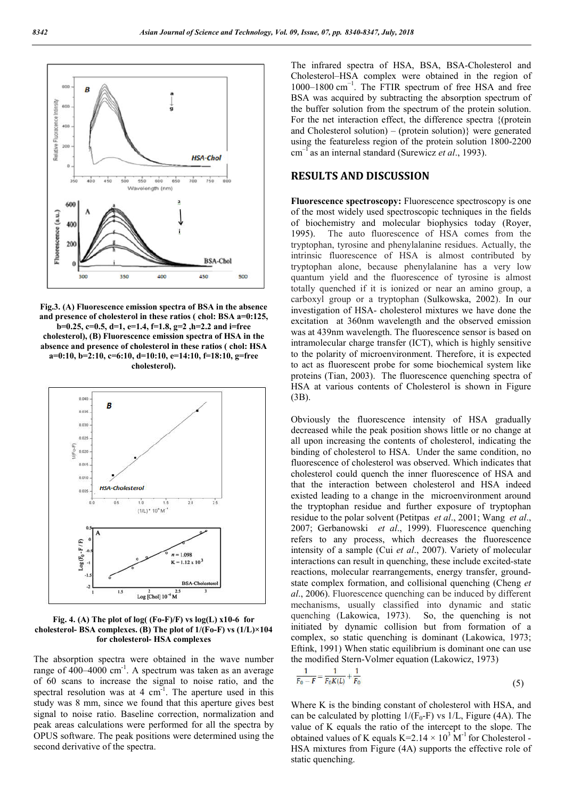

**Fig.3. (A) Fluorescence emission spectra of BSA in the absence and presence of cholesterol in these ratios ( chol: BSA a=0:125, b=0.25, c=0.5, d=1, e=1.4, f=1.8, g=2 ,h=2.2 and i=free cholesterol), (B) Fluorescence emission spectra of HSA in the absence and presence of cholesterol in these ratios ( chol: HSA a=0:10, b=2:10, c=6:10, d=10:10, e=14:10, f=18:10, g=free** 





**Fig. 4. (A) The plot of log( (Fo-F)/F) vs log(L) x10-6 for cholesterol- BSA complexes. (B) The plot of 1/(Fo-F) vs (1/L)×104 for cholesterol- HSA complexes**

The absorption spectra were obtained in the wave number range of 400–4000 cm<sup>-1</sup>. A spectrum was taken as an average of 60 scans to increase the signal to noise ratio, and the spectral resolution was at 4  $cm<sup>-1</sup>$ . The aperture used in this study was 8 mm, since we found that this aperture gives best signal to noise ratio. Baseline correction, normalization and peak areas calculations were performed for all the spectra by OPUS software. The peak positions were determined using the second derivative of the spectra.

The infrared spectra of HSA, BSA, BSA-Cholesterol and Cholesterol–HSA complex were obtained in the region of 1000–1800 cm−1. The FTIR spectrum of free HSA and free BSA was acquired by subtracting the absorption spectrum of the buffer solution from the spectrum of the protein solution. For the net interaction effect, the difference spectra {(protein and Cholesterol solution) – (protein solution)} were generated using the featureless region of the protein solution 1800-2200 cm–1 as an internal standard (Surewicz *et al*., 1993).

#### **RESULTS AND DISCUSSION**

**Fluorescence spectroscopy:** Fluorescence spectroscopy is one of the most widely used spectroscopic techniques in the fields of biochemistry and molecular biophysics today (Royer, 1995). The auto fluorescence of HSA comes from the tryptophan, tyrosine and phenylalanine residues. Actually, the intrinsic fluorescence of HSA is almost contributed by tryptophan alone, because phenylalanine has a very low quantum yield and the fluorescence of tyrosine is almost totally quenched if it is ionized or near an amino group, a carboxyl group or a tryptophan (Sulkowska, 2002). In our investigation of HSA- cholesterol mixtures we have done the excitation at 360nm wavelength and the observed emission was at 439nm wavelength. The fluorescence sensor is based on intramolecular charge transfer (ICT), which is highly sensitive to the polarity of microenvironment. Therefore, it is expected to act as fluorescent probe for some biochemical system like proteins (Tian, 2003). The fluorescence quenching spectra of HSA at various contents of Cholesterol is shown in Figure (3B).

Obviously the fluorescence intensity of HSA gradually decreased while the peak position shows little or no change at all upon increasing the contents of cholesterol, indicating the binding of cholesterol to HSA. Under the same condition, no fluorescence of cholesterol was observed. Which indicates that cholesterol could quench the inner fluorescence of HSA and that the interaction between cholesterol and HSA indeed existed leading to a change in the microenvironment around the tryptophan residue and further exposure of tryptophan residue to the polar solvent (Petitpas *et al*., 2001; Wang *et al*., 2007; Gerbanowski *et al*., 1999). Fluorescence quenching refers to any process, which decreases the fluorescence intensity of a sample (Cui *et al*., 2007). Variety of molecular interactions can result in quenching, these include excited-state reactions, molecular rearrangements, energy transfer, groundstate complex formation, and collisional quenching (Cheng *et al*., 2006). Fluorescence quenching can be induced by different mechanisms, usually classified into dynamic and static quenching (Lakowica, 1973). So, the quenching is not initiated by dynamic collision but from formation of a complex, so static quenching is dominant (Lakowica, 1973; Eftink, 1991) When static equilibrium is dominant one can use the modified Stern-Volmer equation (Lakowicz, 1973)

$$
\frac{1}{F_0 - F} = \frac{1}{F_0 K(L)} + \frac{1}{F_0} \tag{5}
$$

Where K is the binding constant of cholesterol with HSA, and can be calculated by plotting  $1/(F_0-F)$  vs  $1/L$ , Figure (4A). The value of K equals the ratio of the intercept to the slope. The obtained values of K equals K=2.14  $\times$  10<sup>3</sup> M<sup>-1</sup> for Cholesterol -HSA mixtures from Figure (4A) supports the effective role of static quenching.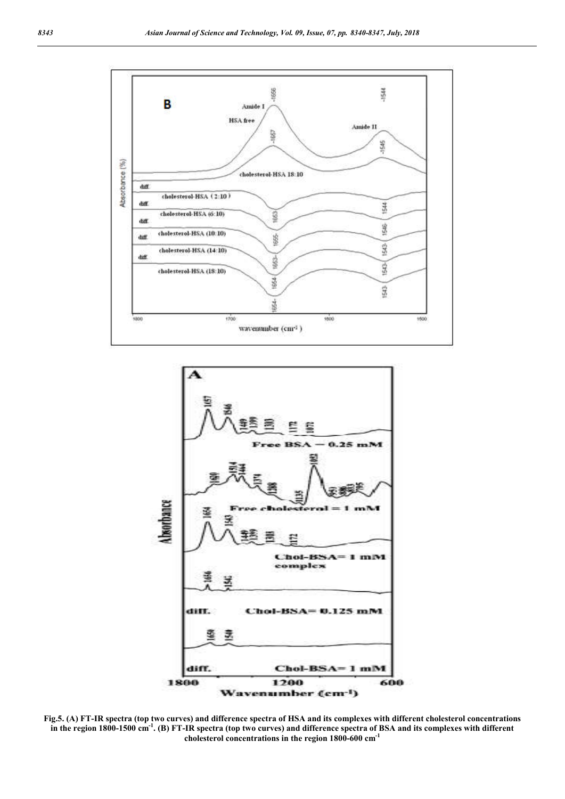



**Fig.5. (A) FT-IR spectra (top two curves) and difference spectra of HSA and its complexes with different cholesterol concentrations in the region 1800-1500 cm-1 . (B) FT-IR spectra (top two curves) and difference spectra of BSA and its complexes with different cholesterol concentrations in the region 1800-600 cm-1**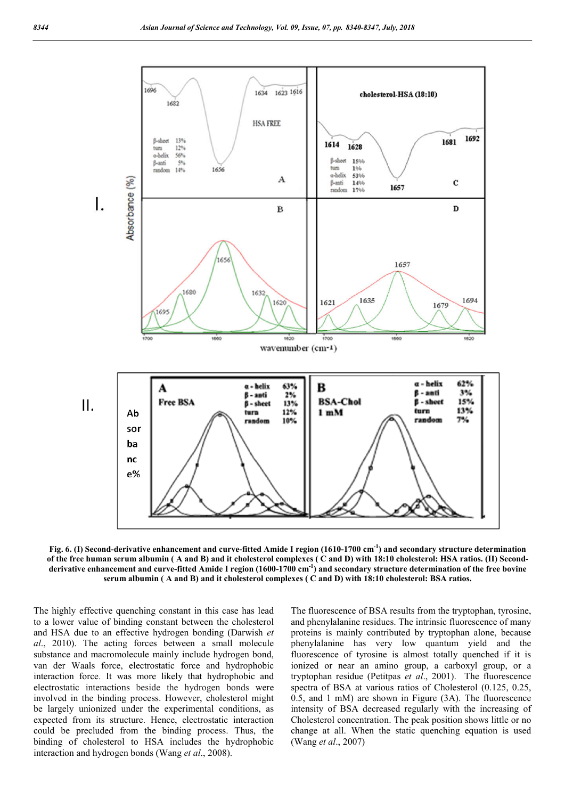

**Fig. 6. (I) Second-derivative enhancement and curve-fitted Amide I region (1610-1700 cm-1 ) and secondary structure determination of the free human serum albumin ( A and B) and it cholesterol complexes ( C and D) with 18:10 cholesterol: HSA ratios. (II) Secondderivative enhancement and curve-fitted Amide I region (1600-1700 cm-1 ) and secondary structure determination of the free bovine serum albumin ( A and B) and it cholesterol complexes ( C and D) with 18:10 cholesterol: BSA ratios.**

The highly effective quenching constant in this case has lead to a lower value of binding constant between the cholesterol and HSA due to an effective hydrogen bonding (Darwish *et al*., 2010). The acting forces between a small molecule substance and macromolecule mainly include hydrogen bond, van der Waals force, electrostatic force and hydrophobic interaction force. It was more likely that hydrophobic and electrostatic interactions beside the hydrogen bonds were involved in the binding process. However, cholesterol might be largely unionized under the experimental conditions, as expected from its structure. Hence, electrostatic interaction could be precluded from the binding process. Thus, the binding of cholesterol to HSA includes the hydrophobic interaction and hydrogen bonds (Wang *et al*., 2008).

The fluorescence of BSA results from the tryptophan, tyrosine, and phenylalanine residues. The intrinsic fluorescence of many proteins is mainly contributed by tryptophan alone, because phenylalanine has very low quantum yield and the fluorescence of tyrosine is almost totally quenched if it is ionized or near an amino group, a carboxyl group, or a tryptophan residue (Petitpas *et al*., 2001). The fluorescence spectra of BSA at various ratios of Cholesterol (0.125, 0.25, 0.5, and 1 mM) are shown in Figure (3A). The fluorescence intensity of BSA decreased regularly with the increasing of Cholesterol concentration. The peak position shows little or no change at all. When the static quenching equation is used (Wang *et al*., 2007)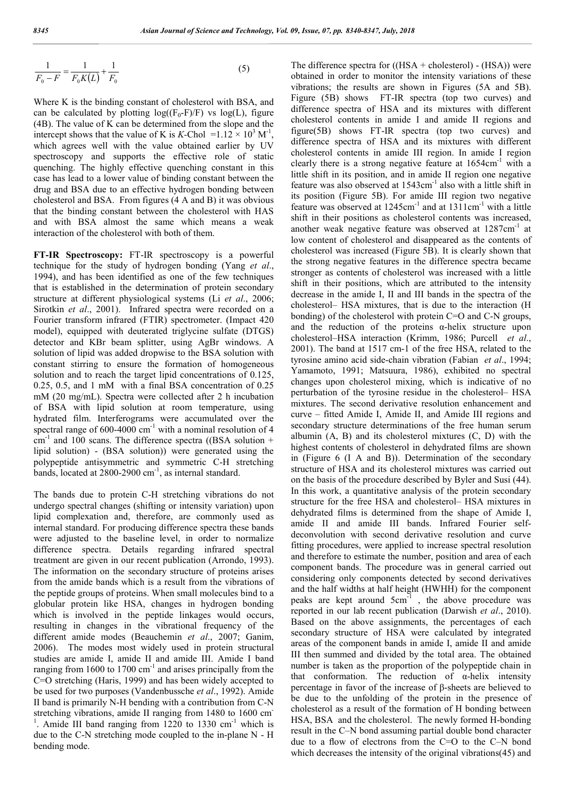$$
\frac{1}{F_0 - F} = \frac{1}{F_0 K(L)} + \frac{1}{F_0}
$$
\n(5)

Where K is the binding constant of cholesterol with BSA, and can be calculated by plotting  $log((F_0-F)/F)$  vs  $log(L)$ , figure (4B). The value of K can be determined from the slope and the intercept shows that the value of K is *K*-Chol =  $1.12 \times 10^3$  M<sup>-1</sup>, which agrees well with the value obtained earlier by UV spectroscopy and supports the effective role of static quenching. The highly effective quenching constant in this case has lead to a lower value of binding constant between the drug and BSA due to an effective hydrogen bonding between cholesterol and BSA. From figures (4 A and B) it was obvious that the binding constant between the cholesterol with HAS and with BSA almost the same which means a weak interaction of the cholesterol with both of them.

**FT-IR Spectroscopy:** FT-IR spectroscopy is a powerful technique for the study of hydrogen bonding (Yang *et al*., 1994), and has been identified as one of the few techniques that is established in the determination of protein secondary structure at different physiological systems (Li *et al*., 2006; Sirotkin *et al*., 2001). Infrared spectra were recorded on a Fourier transform infrared (FTIR) spectrometer. (Impact 420 model), equipped with deuterated triglycine sulfate (DTGS) detector and KBr beam splitter, using AgBr windows. A solution of lipid was added dropwise to the BSA solution with constant stirring to ensure the formation of homogeneous solution and to reach the target lipid concentrations of 0.125, 0.25, 0.5, and 1 mM with a final BSA concentration of 0.25 mM (20 mg/mL). Spectra were collected after 2 h incubation of BSA with lipid solution at room temperature, using hydrated film. Interferograms were accumulated over the spectral range of  $600-4000$  cm<sup>-1</sup> with a nominal resolution of 4  $cm^{-1}$  and 100 scans. The difference spectra ((BSA solution + lipid solution) - (BSA solution)) were generated using the polypeptide antisymmetric and symmetric C-H stretching bands, located at 2800-2900 cm<sup>-1</sup>, as internal standard.

The bands due to protein C-H stretching vibrations do not undergo spectral changes (shifting or intensity variation) upon lipid complexation and, therefore, are commonly used as internal standard. For producing difference spectra these bands were adjusted to the baseline level, in order to normalize difference spectra. Details regarding infrared spectral treatment are given in our recent publication (Arrondo, 1993). The information on the secondary structure of proteins arises from the amide bands which is a result from the vibrations of the peptide groups of proteins. When small molecules bind to a globular protein like HSA, changes in hydrogen bonding which is involved in the peptide linkages would occurs, resulting in changes in the vibrational frequency of the different amide modes (Beauchemin *et al*., 2007; Ganim, 2006). The modes most widely used in protein structural studies are amide I, amide II and amide III. Amide I band ranging from 1600 to 1700  $\text{cm}^{-1}$  and arises principally from the C=O stretching (Haris, 1999) and has been widely accepted to be used for two purposes (Vandenbussche *et al*., 1992). Amide II band is primarily N-H bending with a contribution from C-N stretching vibrations, amide II ranging from 1480 to 1600 cm 1 Amide III band ranging from 1220 to 1330  $cm^{-1}$  which is due to the C-N stretching mode coupled to the in-plane N - H bending mode.

The difference spectra for  $((\text{HSA} + \text{cholesterol}) - (\text{HSA}))$  were obtained in order to monitor the intensity variations of these vibrations; the results are shown in Figures (5A and 5B). Figure (5B) shows FT-IR spectra (top two curves) and difference spectra of HSA and its mixtures with different cholesterol contents in amide I and amide II regions and figure(5B) shows FT-IR spectra (top two curves) and difference spectra of HSA and its mixtures with different cholesterol contents in amide III region. In amide I region clearly there is a strong negative feature at 1654cm<sup>-1</sup> with a little shift in its position, and in amide II region one negative feature was also observed at 1543cm<sup>-1</sup> also with a little shift in its position (Figure 5B). For amide III region two negative feature was observed at  $1245 \text{cm}^{-1}$  and at  $1311 \text{cm}^{-1}$  with a little shift in their positions as cholesterol contents was increased, another weak negative feature was observed at  $1287 \text{cm}^{-1}$  at low content of cholesterol and disappeared as the contents of cholesterol was increased (Figure 5B). It is clearly shown that the strong negative features in the difference spectra became stronger as contents of cholesterol was increased with a little shift in their positions, which are attributed to the intensity decrease in the amide I, II and III bands in the spectra of the cholesterol– HSA mixtures, that is due to the interaction (H bonding) of the cholesterol with protein C=O and C-N groups, and the reduction of the proteins  $\alpha$ -helix structure upon cholesterol–HSA interaction (Krimm, 1986; Purcell *et al*., 2001). The band at 1517 cm-1 of the free HSA, related to the tyrosine amino acid side-chain vibration (Fabian *et al*., 1994; Yamamoto, 1991; Matsuura, 1986), exhibited no spectral changes upon cholesterol mixing, which is indicative of no perturbation of the tyrosine residue in the cholesterol– HSA mixtures. The second derivative resolution enhancement and curve – fitted Amide I, Amide II, and Amide III regions and secondary structure determinations of the free human serum albumin  $(A, B)$  and its cholesterol mixtures  $(C, D)$  with the highest contents of cholesterol in dehydrated films are shown in (Figure 6 (I A and B)). Determination of the secondary structure of HSA and its cholesterol mixtures was carried out on the basis of the procedure described by Byler and Susi (44). In this work, a quantitative analysis of the protein secondary structure for the free HSA and cholesterol– HSA mixtures in dehydrated films is determined from the shape of Amide I, amide II and amide III bands. Infrared Fourier selfdeconvolution with second derivative resolution and curve fitting procedures, were applied to increase spectral resolution and therefore to estimate the number, position and area of each component bands. The procedure was in general carried out considering only components detected by second derivatives and the half widths at half height (HWHH) for the component peaks are kept around 5cm-1 , the above procedure was reported in our lab recent publication (Darwish *et al*., 2010). Based on the above assignments, the percentages of each secondary structure of HSA were calculated by integrated areas of the component bands in amide I, amide II and amide III then summed and divided by the total area. The obtained number is taken as the proportion of the polypeptide chain in that conformation. The reduction of  $\alpha$ -helix intensity percentage in favor of the increase of β-sheets are believed to be due to the unfolding of the protein in the presence of cholesterol as a result of the formation of H bonding between HSA, BSA and the cholesterol. The newly formed H-bonding result in the C–N bond assuming partial double bond character due to a flow of electrons from the C=O to the C–N bond which decreases the intensity of the original vibrations(45) and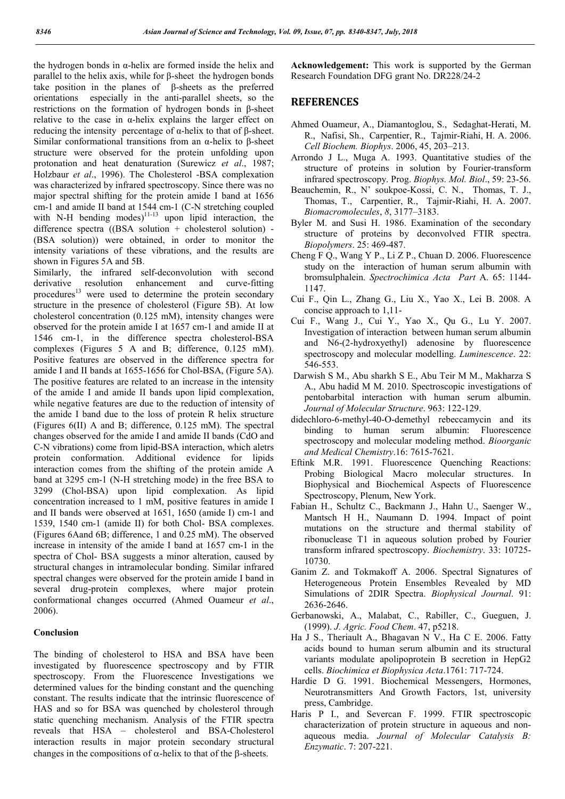the hydrogen bonds in α-helix are formed inside the helix and parallel to the helix axis, while for β-sheet the hydrogen bonds take position in the planes of β-sheets as the preferred orientations especially in the anti-parallel sheets, so the restrictions on the formation of hydrogen bonds in β-sheet relative to the case in  $\alpha$ -helix explains the larger effect on reducing the intensity percentage of α-helix to that of β-sheet. Similar conformational transitions from an  $α$ -helix to β-sheet structure were observed for the protein unfolding upon protonation and heat denaturation (Surewicz *et al*., 1987; Holzbaur *et al*., 1996). The Cholesterol -BSA complexation was characterized by infrared spectroscopy. Since there was no major spectral shifting for the protein amide I band at 1656 cm-1 and amide II band at 1544 cm-1 (C-N stretching coupled with N-H bending modes) $11-13$  upon lipid interaction, the difference spectra  $(BSA solution + cholesterol solution)$  -(BSA solution)) were obtained, in order to monitor the intensity variations of these vibrations, and the results are shown in Figures 5A and 5B.

Similarly, the infrared self-deconvolution with second derivative resolution enhancement and curve-fitting derivative resolution enhancement and curve-fitting procedures<sup>13</sup> were used to determine the protein secondary structure in the presence of cholesterol (Figure 5B). At low cholesterol concentration (0.125 mM), intensity changes were observed for the protein amide I at 1657 cm-1 and amide II at 1546 cm-1, in the difference spectra cholesterol-BSA complexes (Figures 5 A and B; difference, 0.125 mM). Positive features are observed in the difference spectra for amide I and II bands at 1655-1656 for Chol-BSA, (Figure 5A). The positive features are related to an increase in the intensity of the amide I and amide II bands upon lipid complexation, while negative features are due to the reduction of intensity of the amide I band due to the loss of protein R helix structure (Figures 6(II) A and B; difference, 0.125 mM). The spectral changes observed for the amide I and amide II bands (CdO and C-N vibrations) come from lipid-BSA interaction, which aletrs protein conformation. Additional evidence for lipids interaction comes from the shifting of the protein amide A band at 3295 cm-1 (N-H stretching mode) in the free BSA to 3299 (Chol-BSA) upon lipid complexation. As lipid concentration increased to 1 mM, positive features in amide I and II bands were observed at 1651, 1650 (amide I) cm-1 and 1539, 1540 cm-1 (amide II) for both Chol- BSA complexes. (Figures 6Aand 6B; difference, 1 and 0.25 mM). The observed increase in intensity of the amide I band at 1657 cm-1 in the spectra of Chol- BSA suggests a minor alteration, caused by structural changes in intramolecular bonding. Similar infrared spectral changes were observed for the protein amide I band in several drug-protein complexes, where major protein conformational changes occurred (Ahmed Ouameur *et al*., 2006).

#### **Conclusion**

The binding of cholesterol to HSA and BSA have been investigated by fluorescence spectroscopy and by FTIR spectroscopy. From the Fluorescence Investigations we determined values for the binding constant and the quenching constant. The results indicate that the intrinsic fluorescence of HAS and so for BSA was quenched by cholesterol through static quenching mechanism. Analysis of the FTIR spectra reveals that HSA – cholesterol and BSA-Cholesterol interaction results in major protein secondary structural changes in the compositions of  $\alpha$ -helix to that of the  $\beta$ -sheets.

**Acknowledgement:** This work is supported by the German Research Foundation DFG grant No. DR228/24-2

### **REFERENCES**

- Ahmed Ouameur, A., Diamantoglou, S., Sedaghat-Herati, M. R., Nafisi, Sh., Carpentier, R., Tajmir-Riahi, H. A. 2006. *Cell Biochem. Biophys*. 2006, 45, 203–213.
- Arrondo J L., Muga A. 1993. Quantitative studies of the structure of proteins in solution by Fourier-transform infrared spectroscopy. Prog. *Biophys. Mol. Biol*., 59: 23-56.
- Beauchemin, R., N' soukpoe-Kossi, C. N., Thomas, T. J., Thomas, T., Carpentier, R., Tajmir-Riahi, H. A. 2007. *Biomacromolecules*, *8*, 3177–3183.
- Byler M. and Susi H. 1986. Examination of the secondary structure of proteins by deconvolved FTIR spectra. *Biopolymers*. 25: 469-487.
- Cheng F Q., Wang Y P., Li Z P., Chuan D. 2006. Fluorescence study on the interaction of human serum albumin with bromsulphalein. *Spectrochimica Acta Part* A. 65: 1144- 1147.
- Cui F., Qin L., Zhang G., Liu X., Yao X., Lei B. 2008. A concise approach to 1,11-
- Cui F., Wang J., Cui Y., Yao X., Qu G., Lu Y. 2007. Investigation of interaction between human serum albumin and N6-(2-hydroxyethyl) adenosine by fluorescence spectroscopy and molecular modelling. *Luminescence*. 22: 546-553.
- Darwish S M., Abu sharkh S E., Abu Teir M M., Makharza S A., Abu hadid M M. 2010. Spectroscopic investigations of pentobarbital interaction with human serum albumin. *Journal of Molecular Structure*. 963: 122-129.
- didechloro-6-methyl-40-O-demethyl rebeccamycin and its binding to human serum albumin: Fluorescence spectroscopy and molecular modeling method. *Bioorganic and Medical Chemistry*.16: 7615-7621.
- Eftink M.R. 1991. Fluorescence Quenching Reactions: Probing Biological Macro molecular structures. In Biophysical and Biochemical Aspects of Fluorescence Spectroscopy, Plenum, New York.
- Fabian H., Schultz C., Backmann J., Hahn U., Saenger W., Mantsch H H., Naumann D. 1994. Impact of point mutations on the structure and thermal stability of ribonuclease T1 in aqueous solution probed by Fourier transform infrared spectroscopy. *Biochemistry*. 33: 10725- 10730.
- Ganim Z. and Tokmakoff A. 2006. Spectral Signatures of Heterogeneous Protein Ensembles Revealed by MD Simulations of 2DIR Spectra. *Biophysical Journal*. 91: 2636-2646.
- Gerbanowski, A., Malabat, C., Rabiller, C., Gueguen, J. (1999). *J. Agric. Food Chem*. 47, p5218.
- Ha J S., Theriault A., Bhagavan N V., Ha C E. 2006. Fatty acids bound to human serum albumin and its structural variants modulate apolipoprotein B secretion in HepG2 cells. *Biochimica et Biophysica Acta*.1761: 717-724.
- Hardie D G. 1991. Biochemical Messengers, Hormones, Neurotransmitters And Growth Factors, 1st, university press, Cambridge.
- Haris P I., and Severcan F. 1999. FTIR spectroscopic characterization of protein structure in aqueous and nonaqueous media. *Journal of Molecular Catalysis B: Enzymatic*. 7: 207-221.